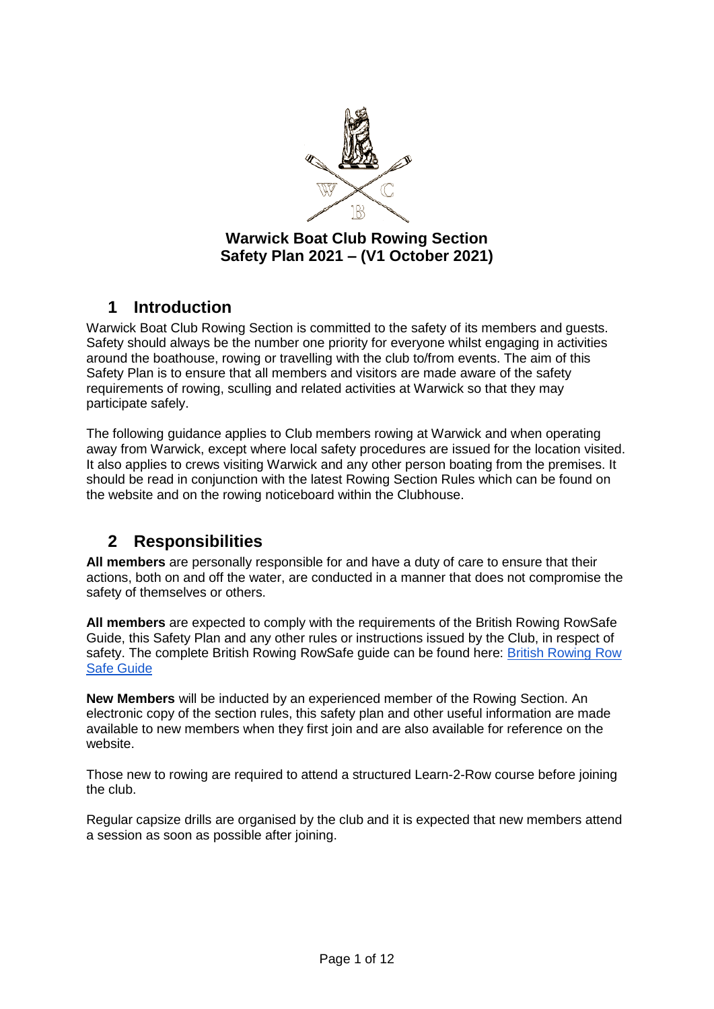

## **Warwick Boat Club Rowing Section Safety Plan 2021 – (V1 October 2021)**

## **1 Introduction**

Warwick Boat Club Rowing Section is committed to the safety of its members and guests. Safety should always be the number one priority for everyone whilst engaging in activities around the boathouse, rowing or travelling with the club to/from events. The aim of this Safety Plan is to ensure that all members and visitors are made aware of the safety requirements of rowing, sculling and related activities at Warwick so that they may participate safely.

The following guidance applies to Club members rowing at Warwick and when operating away from Warwick, except where local safety procedures are issued for the location visited. It also applies to crews visiting Warwick and any other person boating from the premises. It should be read in conjunction with the latest Rowing Section Rules which can be found on the website and on the rowing noticeboard within the Clubhouse.

# **2 Responsibilities**

**All members** are personally responsible for and have a duty of care to ensure that their actions, both on and off the water, are conducted in a manner that does not compromise the safety of themselves or others.

**All members** are expected to comply with the requirements of the British Rowing RowSafe Guide, this Safety Plan and any other rules or instructions issued by the Club, in respect of safety. The complete British Rowing RowSafe guide can be found here: [British Rowing Row](https://www.britishrowing.org/wp-content/uploads/2021/04/2021-RowSafe.pdf)  [Safe Guide](https://www.britishrowing.org/wp-content/uploads/2021/04/2021-RowSafe.pdf)

**New Members** will be inducted by an experienced member of the Rowing Section. An electronic copy of the section rules, this safety plan and other useful information are made available to new members when they first join and are also available for reference on the website.

Those new to rowing are required to attend a structured Learn-2-Row course before joining the club.

Regular capsize drills are organised by the club and it is expected that new members attend a session as soon as possible after joining.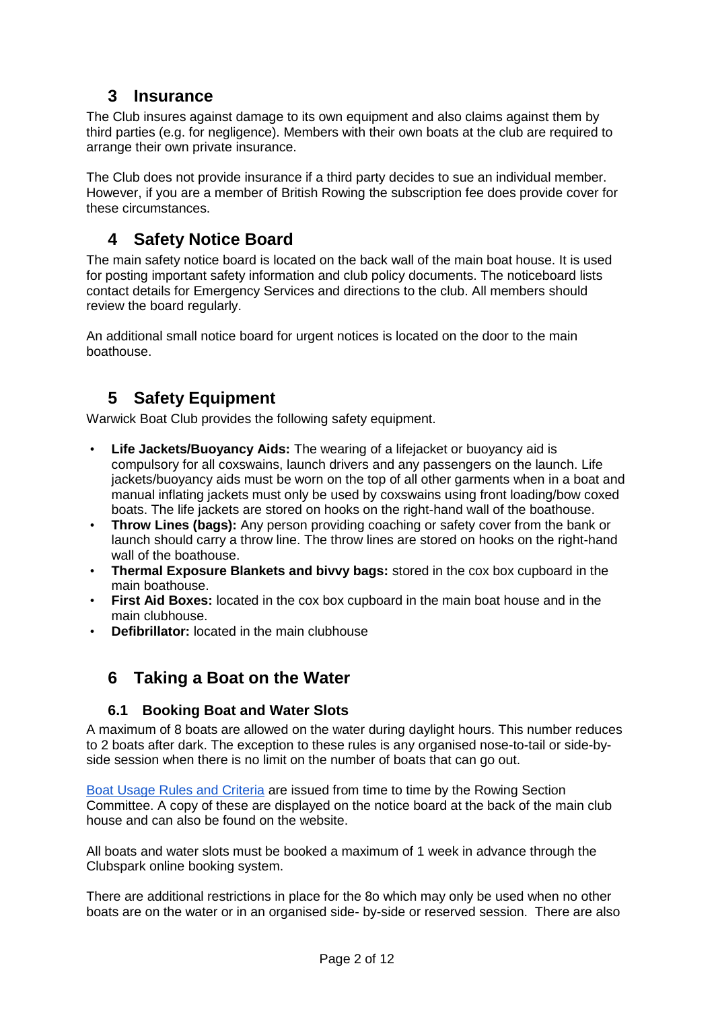# **3 Insurance**

The Club insures against damage to its own equipment and also claims against them by third parties (e.g. for negligence). Members with their own boats at the club are required to arrange their own private insurance.

The Club does not provide insurance if a third party decides to sue an individual member. However, if you are a member of British Rowing the subscription fee does provide cover for these circumstances.

# **4 Safety Notice Board**

The main safety notice board is located on the back wall of the main boat house. It is used for posting important safety information and club policy documents. The noticeboard lists contact details for Emergency Services and directions to the club. All members should review the board regularly.

An additional small notice board for urgent notices is located on the door to the main boathouse.

# **5 Safety Equipment**

Warwick Boat Club provides the following safety equipment.

- **Life Jackets/Buoyancy Aids:** The wearing of a lifejacket or buoyancy aid is compulsory for all coxswains, launch drivers and any passengers on the launch. Life jackets/buoyancy aids must be worn on the top of all other garments when in a boat and manual inflating jackets must only be used by coxswains using front loading/bow coxed boats. The life jackets are stored on hooks on the right-hand wall of the boathouse.
- **Throw Lines (bags):** Any person providing coaching or safety cover from the bank or launch should carry a throw line. The throw lines are stored on hooks on the right-hand wall of the boathouse.
- **Thermal Exposure Blankets and bivvy bags:** stored in the cox box cupboard in the main boathouse.
- **First Aid Boxes:** located in the cox box cupboard in the main boat house and in the main clubhouse.
- **Defibrillator:** located in the main clubhouse

# **6 Taking a Boat on the Water**

### **6.1 Booking Boat and Water Slots**

A maximum of 8 boats are allowed on the water during daylight hours. This number reduces to 2 boats after dark. The exception to these rules is any organised nose-to-tail or side-byside session when there is no limit on the number of boats that can go out.

[Boat Usage Rules and Criteria](https://www.warwickboatclub.co.uk/rowing-rules-info/) are issued from time to time by the Rowing Section Committee. A copy of these are displayed on the notice board at the back of the main club house and can also be found on the website.

All boats and water slots must be booked a maximum of 1 week in advance through the Clubspark online booking system.

There are additional restrictions in place for the 8o which may only be used when no other boats are on the water or in an organised side- by-side or reserved session. There are also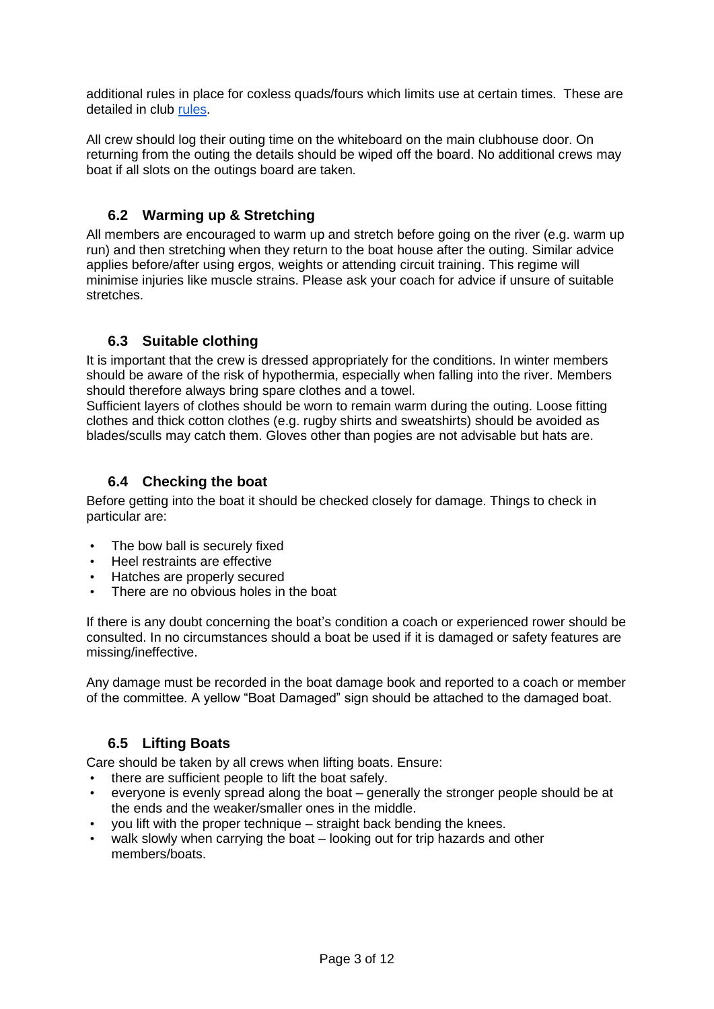additional rules in place for coxless quads/fours which limits use at certain times. These are detailed in club [rules.](https://www.warwickboatclub.co.uk/uploads/ck_files/files/WBC%20Rowing%20Rules%20March%202021%20FINAL.pdf)

All crew should log their outing time on the whiteboard on the main clubhouse door. On returning from the outing the details should be wiped off the board. No additional crews may boat if all slots on the outings board are taken.

## **6.2 Warming up & Stretching**

All members are encouraged to warm up and stretch before going on the river (e.g. warm up run) and then stretching when they return to the boat house after the outing. Similar advice applies before/after using ergos, weights or attending circuit training. This regime will minimise injuries like muscle strains. Please ask your coach for advice if unsure of suitable stretches.

## **6.3 Suitable clothing**

It is important that the crew is dressed appropriately for the conditions. In winter members should be aware of the risk of hypothermia, especially when falling into the river. Members should therefore always bring spare clothes and a towel.

Sufficient layers of clothes should be worn to remain warm during the outing. Loose fitting clothes and thick cotton clothes (e.g. rugby shirts and sweatshirts) should be avoided as blades/sculls may catch them. Gloves other than pogies are not advisable but hats are.

## **6.4 Checking the boat**

Before getting into the boat it should be checked closely for damage. Things to check in particular are:

- The bow ball is securely fixed
- Heel restraints are effective
- Hatches are properly secured
- There are no obvious holes in the boat

If there is any doubt concerning the boat's condition a coach or experienced rower should be consulted. In no circumstances should a boat be used if it is damaged or safety features are missing/ineffective.

Any damage must be recorded in the boat damage book and reported to a coach or member of the committee. A yellow "Boat Damaged" sign should be attached to the damaged boat.

## **6.5 Lifting Boats**

Care should be taken by all crews when lifting boats. Ensure:

- there are sufficient people to lift the boat safely.
- everyone is evenly spread along the boat generally the stronger people should be at the ends and the weaker/smaller ones in the middle.
- you lift with the proper technique straight back bending the knees.
- walk slowly when carrying the boat looking out for trip hazards and other members/boats.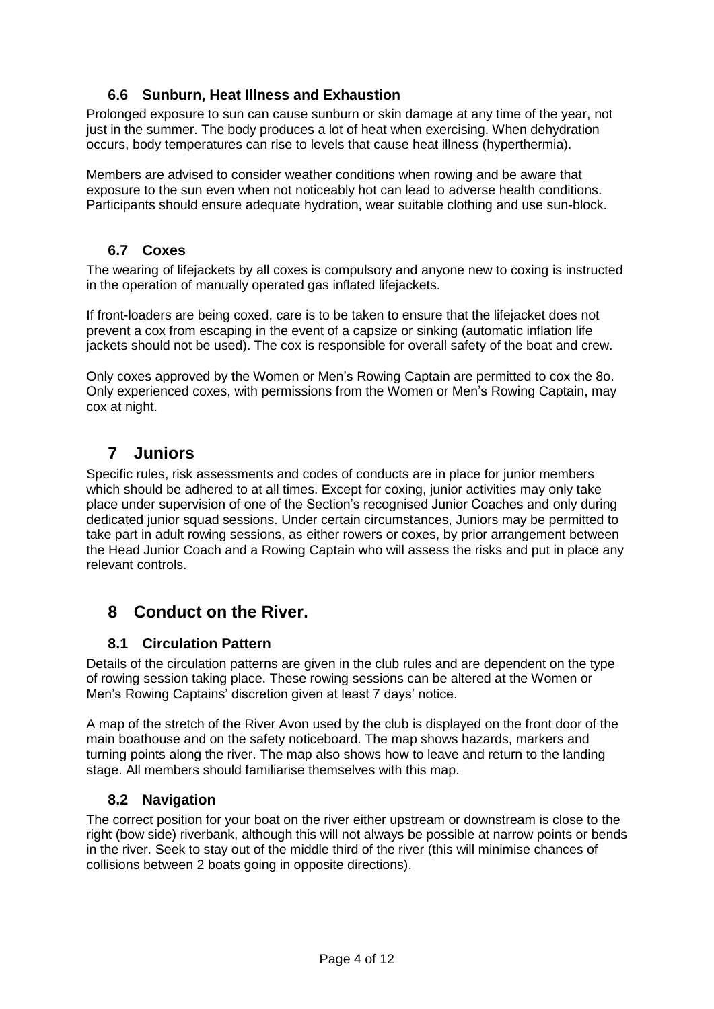## **6.6 Sunburn, Heat Illness and Exhaustion**

Prolonged exposure to sun can cause sunburn or skin damage at any time of the year, not just in the summer. The body produces a lot of heat when exercising. When dehydration occurs, body temperatures can rise to levels that cause heat illness (hyperthermia).

Members are advised to consider weather conditions when rowing and be aware that exposure to the sun even when not noticeably hot can lead to adverse health conditions. Participants should ensure adequate hydration, wear suitable clothing and use sun-block.

### **6.7 Coxes**

The wearing of lifejackets by all coxes is compulsory and anyone new to coxing is instructed in the operation of manually operated gas inflated lifejackets.

If front-loaders are being coxed, care is to be taken to ensure that the lifejacket does not prevent a cox from escaping in the event of a capsize or sinking (automatic inflation life jackets should not be used). The cox is responsible for overall safety of the boat and crew.

Only coxes approved by the Women or Men's Rowing Captain are permitted to cox the 8o. Only experienced coxes, with permissions from the Women or Men's Rowing Captain, may cox at night.

# **7 Juniors**

Specific rules, risk assessments and codes of conducts are in place for junior members which should be adhered to at all times. Except for coxing, junior activities may only take place under supervision of one of the Section's recognised Junior Coaches and only during dedicated junior squad sessions. Under certain circumstances, Juniors may be permitted to take part in adult rowing sessions, as either rowers or coxes, by prior arrangement between the Head Junior Coach and a Rowing Captain who will assess the risks and put in place any relevant controls.

# **8 Conduct on the River.**

## **8.1 Circulation Pattern**

Details of the circulation patterns are given in the club rules and are dependent on the type of rowing session taking place. These rowing sessions can be altered at the Women or Men's Rowing Captains' discretion given at least 7 days' notice.

A map of the stretch of the River Avon used by the club is displayed on the front door of the main boathouse and on the safety noticeboard. The map shows hazards, markers and turning points along the river. The map also shows how to leave and return to the landing stage. All members should familiarise themselves with this map.

## **8.2 Navigation**

The correct position for your boat on the river either upstream or downstream is close to the right (bow side) riverbank, although this will not always be possible at narrow points or bends in the river. Seek to stay out of the middle third of the river (this will minimise chances of collisions between 2 boats going in opposite directions).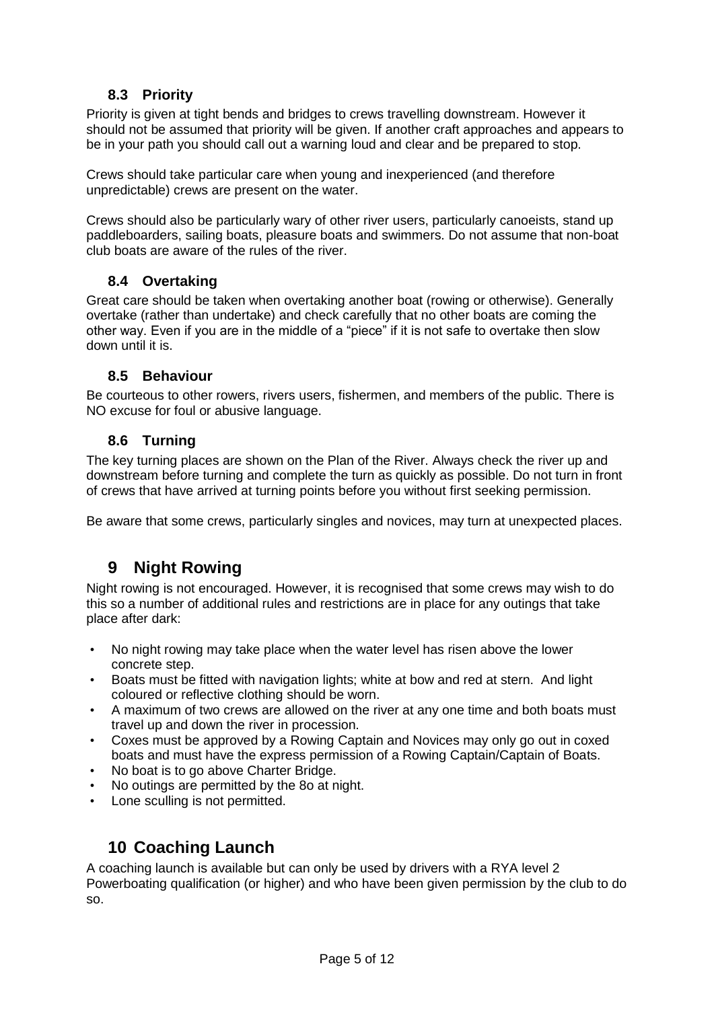## **8.3 Priority**

Priority is given at tight bends and bridges to crews travelling downstream. However it should not be assumed that priority will be given. If another craft approaches and appears to be in your path you should call out a warning loud and clear and be prepared to stop.

Crews should take particular care when young and inexperienced (and therefore unpredictable) crews are present on the water.

Crews should also be particularly wary of other river users, particularly canoeists, stand up paddleboarders, sailing boats, pleasure boats and swimmers. Do not assume that non-boat club boats are aware of the rules of the river.

### **8.4 Overtaking**

Great care should be taken when overtaking another boat (rowing or otherwise). Generally overtake (rather than undertake) and check carefully that no other boats are coming the other way. Even if you are in the middle of a "piece" if it is not safe to overtake then slow down until it is.

### **8.5 Behaviour**

Be courteous to other rowers, rivers users, fishermen, and members of the public. There is NO excuse for foul or abusive language.

### **8.6 Turning**

The key turning places are shown on the Plan of the River. Always check the river up and downstream before turning and complete the turn as quickly as possible. Do not turn in front of crews that have arrived at turning points before you without first seeking permission.

Be aware that some crews, particularly singles and novices, may turn at unexpected places.

# **9 Night Rowing**

Night rowing is not encouraged. However, it is recognised that some crews may wish to do this so a number of additional rules and restrictions are in place for any outings that take place after dark:

- No night rowing may take place when the water level has risen above the lower concrete step.
- Boats must be fitted with navigation lights; white at bow and red at stern. And light coloured or reflective clothing should be worn.
- A maximum of two crews are allowed on the river at any one time and both boats must travel up and down the river in procession.
- Coxes must be approved by a Rowing Captain and Novices may only go out in coxed boats and must have the express permission of a Rowing Captain/Captain of Boats.
- No boat is to go above Charter Bridge.
- No outings are permitted by the 8o at night.
- Lone sculling is not permitted.

# **10 Coaching Launch**

A coaching launch is available but can only be used by drivers with a RYA level 2 Powerboating qualification (or higher) and who have been given permission by the club to do so.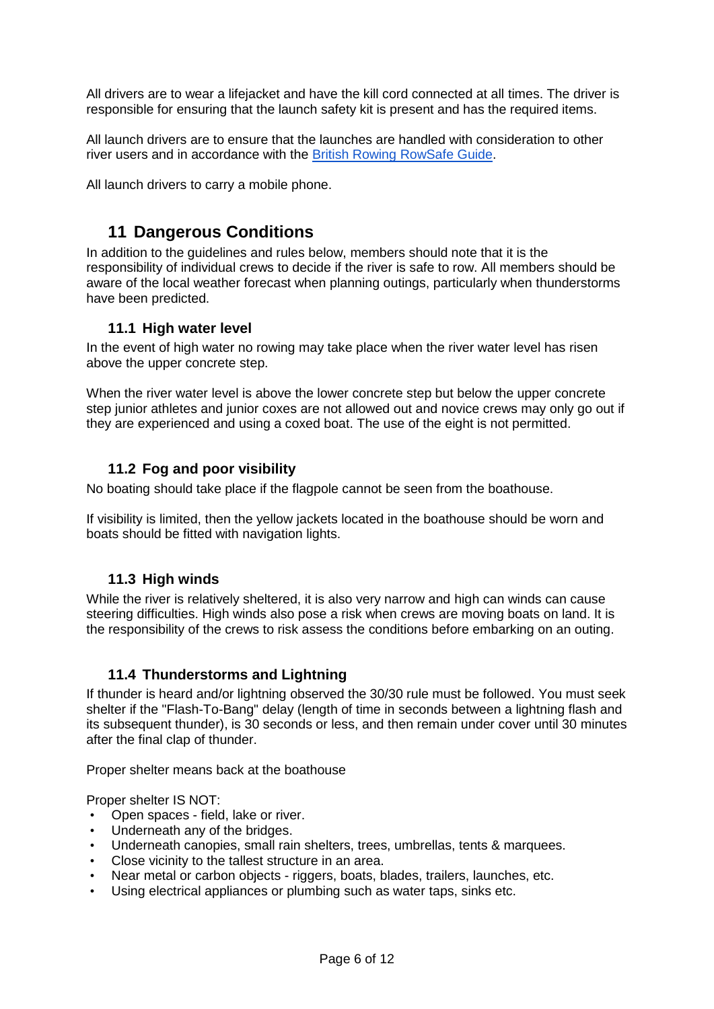All drivers are to wear a lifejacket and have the kill cord connected at all times. The driver is responsible for ensuring that the launch safety kit is present and has the required items.

All launch drivers are to ensure that the launches are handled with consideration to other river users and in accordance with the [British Rowing RowSafe Guide.](https://www.britishrowing.org/wp-content/uploads/2021/04/2021-RowSafe.pdf)

All launch drivers to carry a mobile phone.

## **11 Dangerous Conditions**

In addition to the guidelines and rules below, members should note that it is the responsibility of individual crews to decide if the river is safe to row. All members should be aware of the local weather forecast when planning outings, particularly when thunderstorms have been predicted.

#### **11.1 High water level**

In the event of high water no rowing may take place when the river water level has risen above the upper concrete step.

When the river water level is above the lower concrete step but below the upper concrete step junior athletes and junior coxes are not allowed out and novice crews may only go out if they are experienced and using a coxed boat. The use of the eight is not permitted.

#### **11.2 Fog and poor visibility**

No boating should take place if the flagpole cannot be seen from the boathouse.

If visibility is limited, then the yellow jackets located in the boathouse should be worn and boats should be fitted with navigation lights.

#### **11.3 High winds**

While the river is relatively sheltered, it is also very narrow and high can winds can cause steering difficulties. High winds also pose a risk when crews are moving boats on land. It is the responsibility of the crews to risk assess the conditions before embarking on an outing.

#### **11.4 Thunderstorms and Lightning**

If thunder is heard and/or lightning observed the 30/30 rule must be followed. You must seek shelter if the "Flash-To-Bang" delay (length of time in seconds between a lightning flash and its subsequent thunder), is 30 seconds or less, and then remain under cover until 30 minutes after the final clap of thunder.

Proper shelter means back at the boathouse

Proper shelter IS NOT:

- Open spaces field, lake or river.
- Underneath any of the bridges.
- Underneath canopies, small rain shelters, trees, umbrellas, tents & marquees.
- Close vicinity to the tallest structure in an area.
- Near metal or carbon objects riggers, boats, blades, trailers, launches, etc.
- Using electrical appliances or plumbing such as water taps, sinks etc.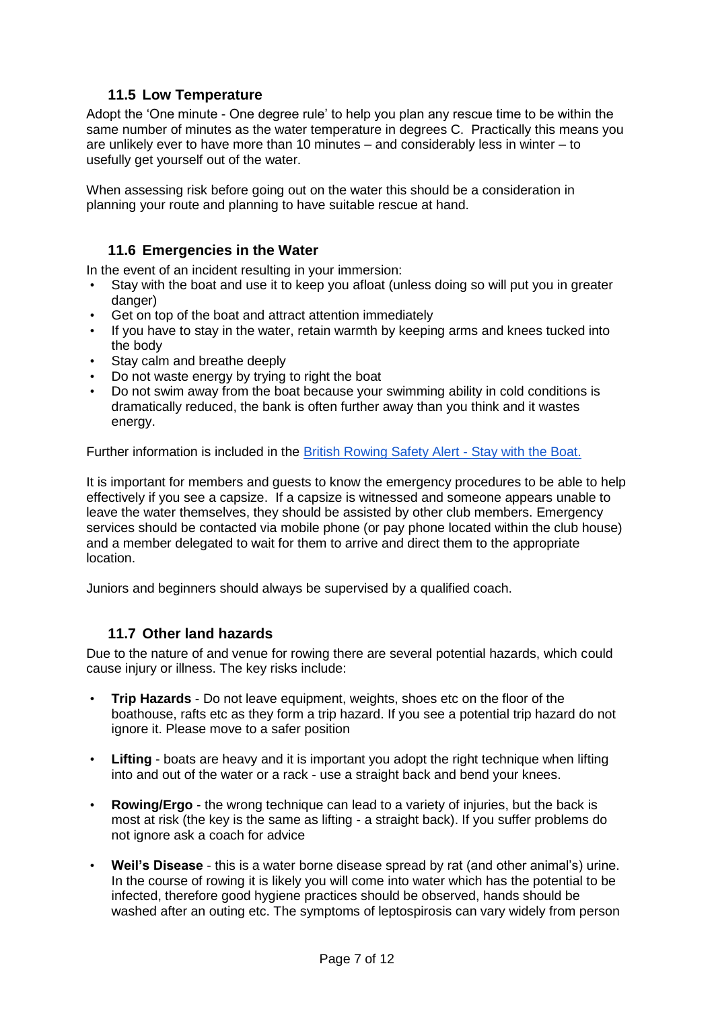## **11.5 Low Temperature**

Adopt the 'One minute - One degree rule' to help you plan any rescue time to be within the same number of minutes as the water temperature in degrees C. Practically this means you are unlikely ever to have more than 10 minutes – and considerably less in winter – to usefully get yourself out of the water.

When assessing risk before going out on the water this should be a consideration in planning your route and planning to have suitable rescue at hand.

### **11.6 Emergencies in the Water**

In the event of an incident resulting in your immersion:

- Stay with the boat and use it to keep you afloat (unless doing so will put you in greater danger)
- Get on top of the boat and attract attention immediately
- If you have to stay in the water, retain warmth by keeping arms and knees tucked into the body
- Stay calm and breathe deeply
- Do not waste energy by trying to right the boat
- Do not swim away from the boat because your swimming ability in cold conditions is dramatically reduced, the bank is often further away than you think and it wastes energy.

Further information is included in the [British Rowing Safety Alert -](https://www.britishrowing.org/wp-content/uploads/2021/10/Safety-Alert-Stay-with-the-boat-October-2021.pdf) Stay with the Boat.

It is important for members and guests to know the emergency procedures to be able to help effectively if you see a capsize. If a capsize is witnessed and someone appears unable to leave the water themselves, they should be assisted by other club members. Emergency services should be contacted via mobile phone (or pay phone located within the club house) and a member delegated to wait for them to arrive and direct them to the appropriate location.

Juniors and beginners should always be supervised by a qualified coach.

### **11.7 Other land hazards**

Due to the nature of and venue for rowing there are several potential hazards, which could cause injury or illness. The key risks include:

- **Trip Hazards**  Do not leave equipment, weights, shoes etc on the floor of the boathouse, rafts etc as they form a trip hazard. If you see a potential trip hazard do not ignore it. Please move to a safer position
- **Lifting** boats are heavy and it is important you adopt the right technique when lifting into and out of the water or a rack - use a straight back and bend your knees.
- **Rowing/Ergo** the wrong technique can lead to a variety of injuries, but the back is most at risk (the key is the same as lifting - a straight back). If you suffer problems do not ignore ask a coach for advice
- **Weil's Disease** this is a water borne disease spread by rat (and other animal's) urine. In the course of rowing it is likely you will come into water which has the potential to be infected, therefore good hygiene practices should be observed, hands should be washed after an outing etc. The symptoms of leptospirosis can vary widely from person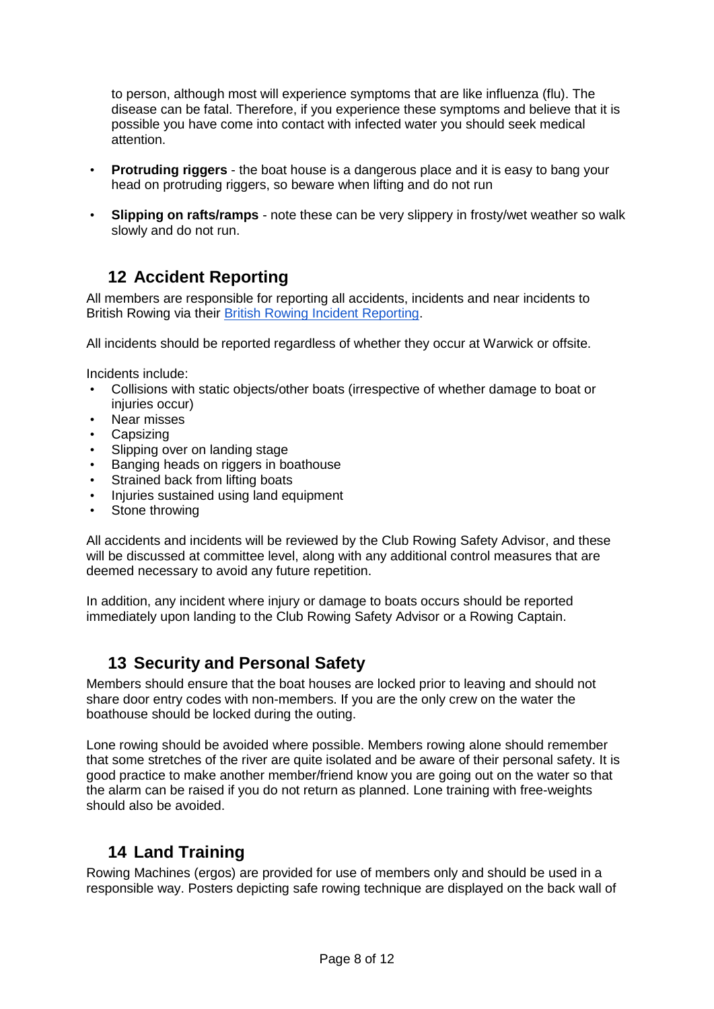to person, although most will experience symptoms that are like influenza (flu). The disease can be fatal. Therefore, if you experience these symptoms and believe that it is possible you have come into contact with infected water you should seek medical attention.

- **Protruding riggers** the boat house is a dangerous place and it is easy to bang your head on protruding riggers, so beware when lifting and do not run
- **Slipping on rafts/ramps** note these can be very slippery in frosty/wet weather so walk slowly and do not run.

## **12 Accident Reporting**

All members are responsible for reporting all accidents, incidents and near incidents to British Rowing via their [British Rowing Incident Reporting.](https://incidentreporting.britishrowing.org/)

All incidents should be reported regardless of whether they occur at Warwick or offsite.

Incidents include:

- Collisions with static objects/other boats (irrespective of whether damage to boat or injuries occur)
- Near misses
- Capsizing
- Slipping over on landing stage
- Banging heads on riggers in boathouse
- Strained back from lifting boats
- Injuries sustained using land equipment
- Stone throwing

All accidents and incidents will be reviewed by the Club Rowing Safety Advisor, and these will be discussed at committee level, along with any additional control measures that are deemed necessary to avoid any future repetition.

In addition, any incident where injury or damage to boats occurs should be reported immediately upon landing to the Club Rowing Safety Advisor or a Rowing Captain.

## **13 Security and Personal Safety**

Members should ensure that the boat houses are locked prior to leaving and should not share door entry codes with non-members. If you are the only crew on the water the boathouse should be locked during the outing.

Lone rowing should be avoided where possible. Members rowing alone should remember that some stretches of the river are quite isolated and be aware of their personal safety. It is good practice to make another member/friend know you are going out on the water so that the alarm can be raised if you do not return as planned. Lone training with free-weights should also be avoided.

# **14 Land Training**

Rowing Machines (ergos) are provided for use of members only and should be used in a responsible way. Posters depicting safe rowing technique are displayed on the back wall of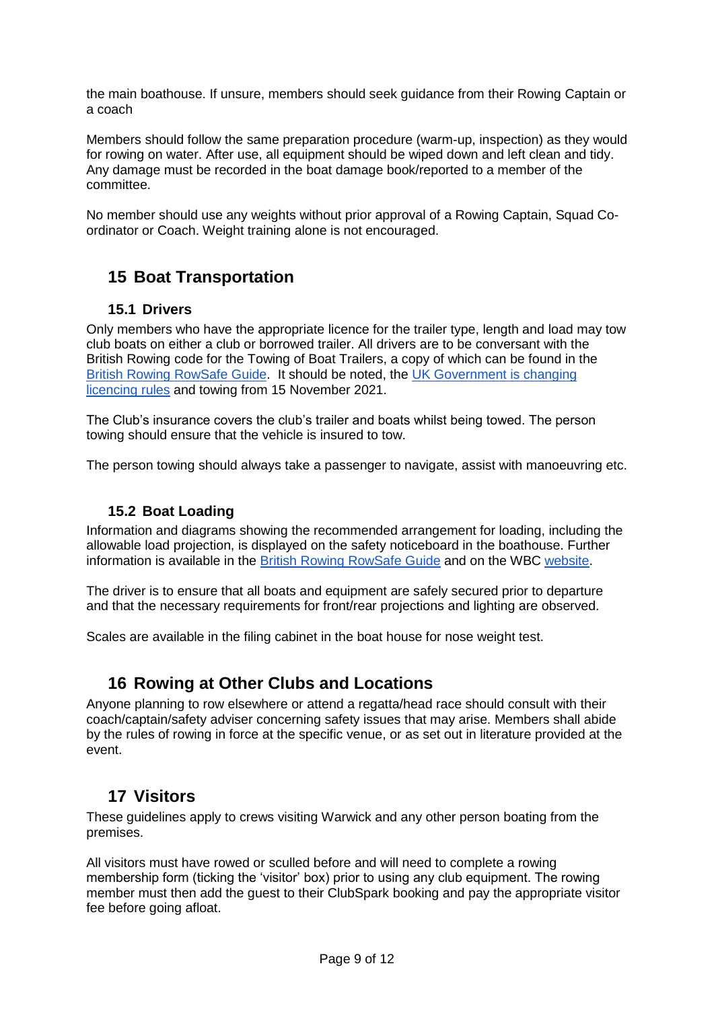the main boathouse. If unsure, members should seek guidance from their Rowing Captain or a coach

Members should follow the same preparation procedure (warm-up, inspection) as they would for rowing on water. After use, all equipment should be wiped down and left clean and tidy. Any damage must be recorded in the boat damage book/reported to a member of the committee.

No member should use any weights without prior approval of a Rowing Captain, Squad Coordinator or Coach. Weight training alone is not encouraged.

# **15 Boat Transportation**

### **15.1 Drivers**

Only members who have the appropriate licence for the trailer type, length and load may tow club boats on either a club or borrowed trailer. All drivers are to be conversant with the British Rowing code for the Towing of Boat Trailers, a copy of which can be found in the [British Rowing RowSafe Guide.](https://www.britishrowing.org/wp-content/uploads/2021/04/2021-RowSafe.pdf) It should be noted, the [UK Government is changing](https://www.gov.uk/guidance/new-rules-for-towing-a-trailer-or-caravan-with-a-car-from-autumn-2021)  [licencing rules](https://www.gov.uk/guidance/new-rules-for-towing-a-trailer-or-caravan-with-a-car-from-autumn-2021) and towing from 15 November 2021.

The Club's insurance covers the club's trailer and boats whilst being towed. The person towing should ensure that the vehicle is insured to tow.

The person towing should always take a passenger to navigate, assist with manoeuvring etc.

### **15.2 Boat Loading**

Information and diagrams showing the recommended arrangement for loading, including the allowable load projection, is displayed on the safety noticeboard in the boathouse. Further information is available in the [British Rowing RowSafe Guide](https://www.britishrowing.org/wp-content/uploads/2021/04/2021-RowSafe.pdf) and on the WBC [website.](https://www.warwickboatclub.co.uk/rowing-rules-info/)

The driver is to ensure that all boats and equipment are safely secured prior to departure and that the necessary requirements for front/rear projections and lighting are observed.

Scales are available in the filing cabinet in the boat house for nose weight test.

## **16 Rowing at Other Clubs and Locations**

Anyone planning to row elsewhere or attend a regatta/head race should consult with their coach/captain/safety adviser concerning safety issues that may arise. Members shall abide by the rules of rowing in force at the specific venue, or as set out in literature provided at the event.

# **17 Visitors**

These guidelines apply to crews visiting Warwick and any other person boating from the premises.

All visitors must have rowed or sculled before and will need to complete a rowing membership form (ticking the 'visitor' box) prior to using any club equipment. The rowing member must then add the guest to their ClubSpark booking and pay the appropriate visitor fee before going afloat.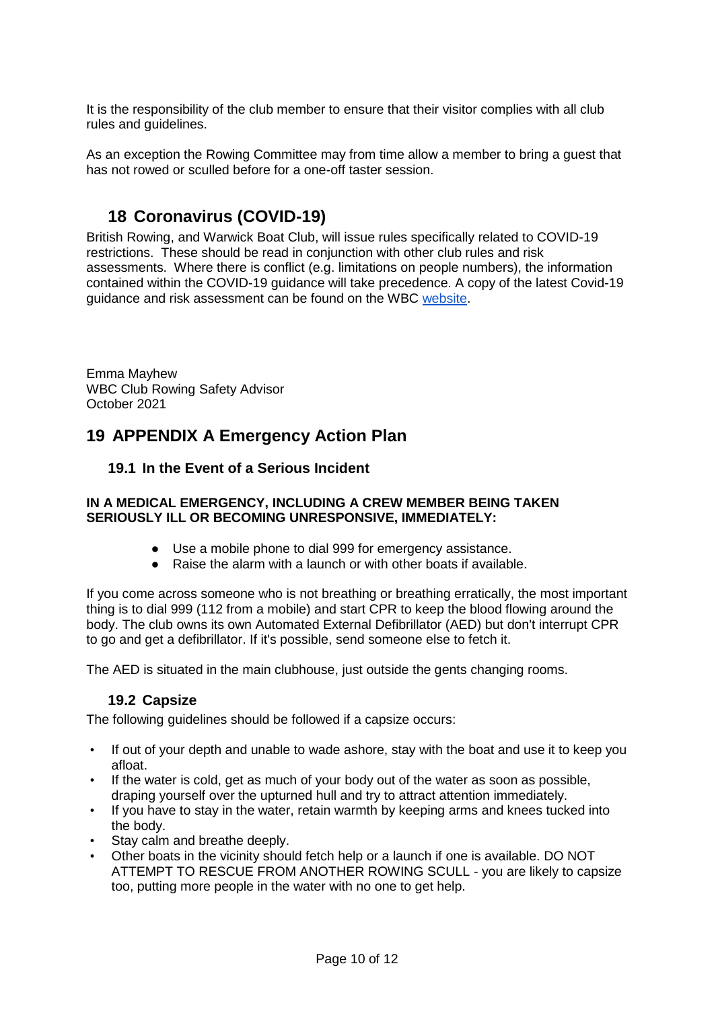It is the responsibility of the club member to ensure that their visitor complies with all club rules and guidelines.

As an exception the Rowing Committee may from time allow a member to bring a guest that has not rowed or sculled before for a one-off taster session.

## **18 Coronavirus (COVID-19)**

British Rowing, and Warwick Boat Club, will issue rules specifically related to COVID-19 restrictions. These should be read in conjunction with other club rules and risk assessments. Where there is conflict (e.g. limitations on people numbers), the information contained within the COVID-19 guidance will take precedence. A copy of the latest Covid-19 guidance and risk assessment can be found on the WBC [website.](https://www.warwickboatclub.co.uk/rowing-rules-info/)

Emma Mayhew WBC Club Rowing Safety Advisor October 2021

# **19 APPENDIX A Emergency Action Plan**

### **19.1 In the Event of a Serious Incident**

#### **IN A MEDICAL EMERGENCY, INCLUDING A CREW MEMBER BEING TAKEN SERIOUSLY ILL OR BECOMING UNRESPONSIVE, IMMEDIATELY:**

- Use a mobile phone to dial 999 for emergency assistance.
- Raise the alarm with a launch or with other boats if available.

If you come across someone who is not breathing or breathing erratically, the most important thing is to dial 999 (112 from a mobile) and start CPR to keep the blood flowing around the body. The club owns its own Automated External Defibrillator (AED) but don't interrupt CPR to go and get a defibrillator. If it's possible, send someone else to fetch it.

The AED is situated in the main clubhouse, just outside the gents changing rooms.

### **19.2 Capsize**

The following guidelines should be followed if a capsize occurs:

- If out of your depth and unable to wade ashore, stay with the boat and use it to keep you afloat.
- If the water is cold, get as much of your body out of the water as soon as possible, draping yourself over the upturned hull and try to attract attention immediately.
- If you have to stay in the water, retain warmth by keeping arms and knees tucked into the body.
- Stay calm and breathe deeply.
- Other boats in the vicinity should fetch help or a launch if one is available. DO NOT ATTEMPT TO RESCUE FROM ANOTHER ROWING SCULL - you are likely to capsize too, putting more people in the water with no one to get help.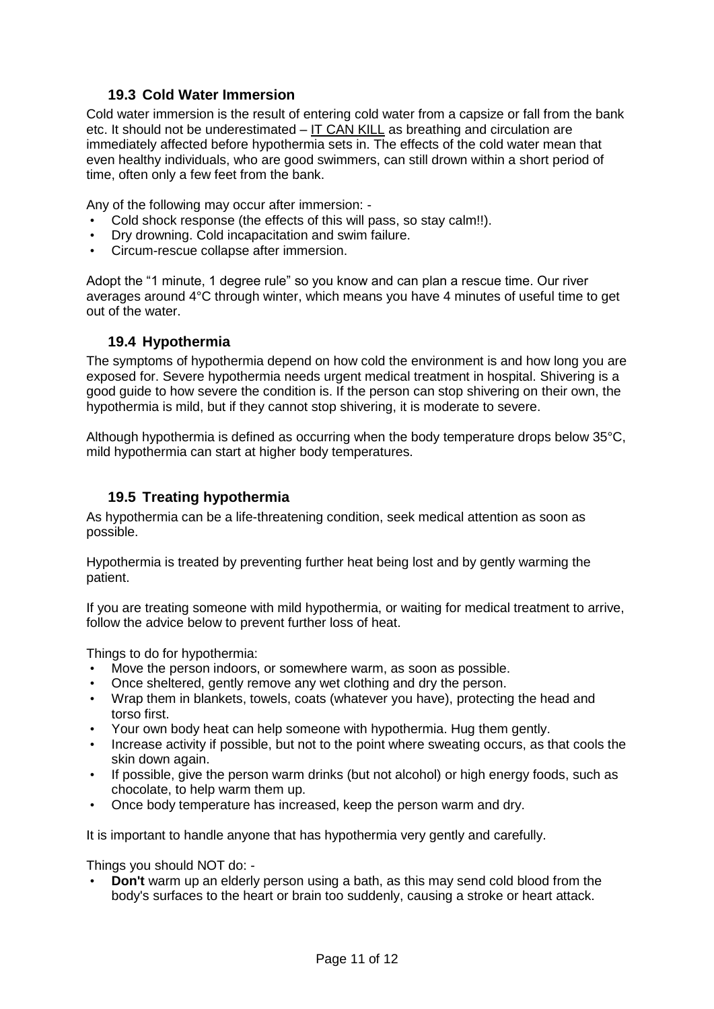### **19.3 Cold Water Immersion**

Cold water immersion is the result of entering cold water from a capsize or fall from the bank etc. It should not be underestimated  $-$  IT CAN KILL as breathing and circulation are immediately affected before hypothermia sets in. The effects of the cold water mean that even healthy individuals, who are good swimmers, can still drown within a short period of time, often only a few feet from the bank.

Any of the following may occur after immersion: -

- Cold shock response (the effects of this will pass, so stay calm!!).
- Dry drowning. Cold incapacitation and swim failure.
- Circum-rescue collapse after immersion.

Adopt the "1 minute, 1 degree rule" so you know and can plan a rescue time. Our river averages around 4°C through winter, which means you have 4 minutes of useful time to get out of the water.

### **19.4 Hypothermia**

The symptoms of hypothermia depend on how cold the environment is and how long you are exposed for. Severe hypothermia needs urgent medical treatment in hospital. Shivering is a good guide to how severe the condition is. If the person can stop shivering on their own, the hypothermia is mild, but if they cannot stop shivering, it is moderate to severe.

Although hypothermia is defined as occurring when the body temperature drops below 35°C, mild hypothermia can start at higher body temperatures.

### **19.5 Treating hypothermia**

As hypothermia can be a life-threatening condition, seek medical attention as soon as possible.

Hypothermia is treated by preventing further heat being lost and by gently warming the patient.

If you are treating someone with mild hypothermia, or waiting for medical treatment to arrive, follow the advice below to prevent further loss of heat.

Things to do for hypothermia:

- Move the person indoors, or somewhere warm, as soon as possible.
- Once sheltered, gently remove any wet clothing and dry the person.
- Wrap them in blankets, towels, coats (whatever you have), protecting the head and torso first.
- Your own body heat can help someone with hypothermia. Hug them gently.
- Increase activity if possible, but not to the point where sweating occurs, as that cools the skin down again.
- If possible, give the person warm drinks (but not alcohol) or high energy foods, such as chocolate, to help warm them up.
- Once body temperature has increased, keep the person warm and dry.

It is important to handle anyone that has hypothermia very gently and carefully.

Things you should NOT do: -

• **Don't** warm up an elderly person using a bath, as this may send cold blood from the body's surfaces to the heart or brain too suddenly, causing a stroke or heart attack.